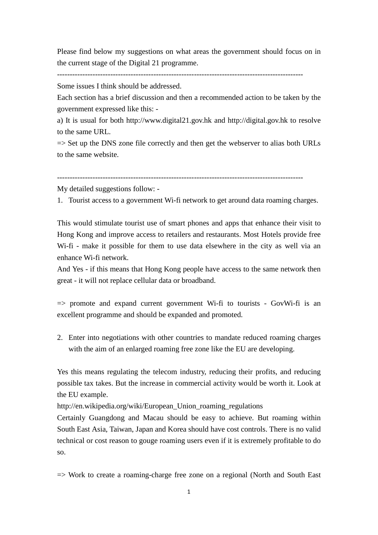Please find below my suggestions on what areas the government should focus on in the current stage of the Digital 21 programme.

-------------------------------------------------------------------------------------------------

Some issues I think should be addressed.

Each section has a brief discussion and then a recommended action to be taken by the government expressed like this: -

a) It is usual for both http://www.digital21.gov.hk and http://digital.gov.hk to resolve to the same URL.

 $\Rightarrow$  Set up the DNS zone file correctly and then get the webserver to alias both URLs to the same website.

My detailed suggestions follow: -

1. Tourist access to a government Wi-fi network to get around data roaming charges.

This would stimulate tourist use of smart phones and apps that enhance their visit to Hong Kong and improve access to retailers and restaurants. Most Hotels provide free Wi-fi - make it possible for them to use data elsewhere in the city as well via an enhance Wi-fi network.

And Yes - if this means that Hong Kong people have access to the same network then great - it will not replace cellular data or broadband.

 $\Rightarrow$  promote and expand current government Wi-fi to tourists - GovWi-fi is an excellent programme and should be expanded and promoted.

2. Enter into negotiations with other countries to mandate reduced roaming charges with the aim of an enlarged roaming free zone like the EU are developing.

Yes this means regulating the telecom industry, reducing their profits, and reducing possible tax takes. But the increase in commercial activity would be worth it. Look at the EU example.

http://en.wikipedia.org/wiki/European\_Union\_roaming\_regulations

Certainly Guangdong and Macau should be easy to achieve. But roaming within South East Asia, Taiwan, Japan and Korea should have cost controls. There is no valid technical or cost reason to gouge roaming users even if it is extremely profitable to do so.

=> Work to create a roaming-charge free zone on a regional (North and South East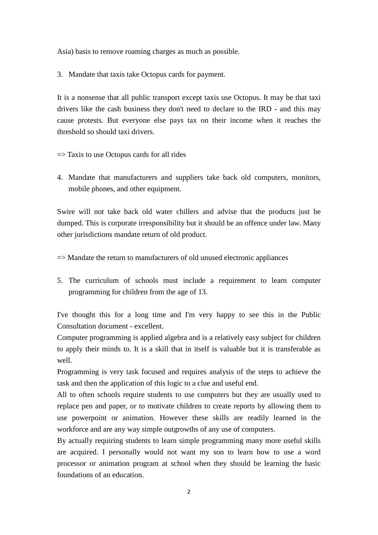Asia) basis to remove roaming charges as much as possible.

3. Mandate that taxis take Octopus cards for payment.

It is a nonsense that all public transport except taxis use Octopus. It may be that taxi drivers like the cash business they don't need to declare to the IRD - and this may cause protests. But everyone else pays tax on their income when it reaches the threshold so should taxi drivers.

 $\Rightarrow$  Taxis to use Octopus cards for all rides

4. Mandate that manufacturers and suppliers take back old computers, monitors, mobile phones, and other equipment.

Swire will not take back old water chillers and advise that the products just be dumped. This is corporate irresponsibility but it should be an offence under law. Many other jurisdictions mandate return of old product.

 $\Rightarrow$  Mandate the return to manufacturers of old unused electronic appliances

5. The curriculum of schools must include a requirement to learn computer programming for children from the age of 13.

I've thought this for a long time and I'm very happy to see this in the Public Consultation document - excellent.

Computer programming is applied algebra and is a relatively easy subject for children to apply their minds to. It is a skill that in itself is valuable but it is transferable as well.

Programming is very task focused and requires analysis of the steps to achieve the task and then the application of this logic to a clue and useful end.

All to often schools require students to use computers but they are usually used to replace pen and paper, or to motivate children to create reports by allowing them to use powerpoint or animation. However these skills are readily learned in the workforce and are any way simple outgrowths of any use of computers.

By actually requiring students to learn simple programming many more useful skills are acquired. I personally would not want my son to learn how to use a word processor or animation program at school when they should be learning the basic foundations of an education.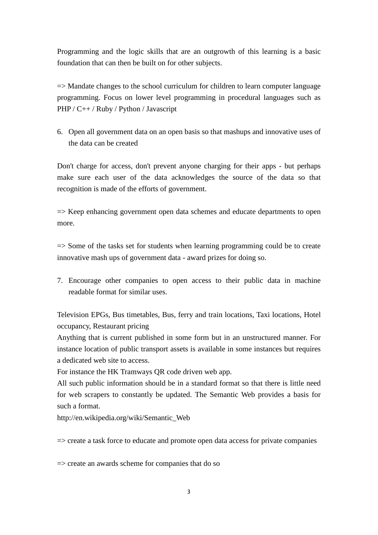Programming and the logic skills that are an outgrowth of this learning is a basic foundation that can then be built on for other subjects.

 $\Rightarrow$  Mandate changes to the school curriculum for children to learn computer language programming. Focus on lower level programming in procedural languages such as PHP / C++ / Ruby / Python / Javascript

6. Open all government data on an open basis so that mashups and innovative uses of the data can be created

Don't charge for access, don't prevent anyone charging for their apps - but perhaps make sure each user of the data acknowledges the source of the data so that recognition is made of the efforts of government.

 $\Rightarrow$  Keep enhancing government open data schemes and educate departments to open more.

=> Some of the tasks set for students when learning programming could be to create innovative mash ups of government data - award prizes for doing so.

7. Encourage other companies to open access to their public data in machine readable format for similar uses.

Television EPGs, Bus timetables, Bus, ferry and train locations, Taxi locations, Hotel occupancy, Restaurant pricing

Anything that is current published in some form but in an unstructured manner. For instance location of public transport assets is available in some instances but requires a dedicated web site to access.

For instance the HK Tramways QR code driven web app.

All such public information should be in a standard format so that there is little need for web scrapers to constantly be updated. The Semantic Web provides a basis for such a format.

http://en.wikipedia.org/wiki/Semantic\_Web

 $\Rightarrow$  create a task force to educate and promote open data access for private companies

 $\Rightarrow$  create an awards scheme for companies that do so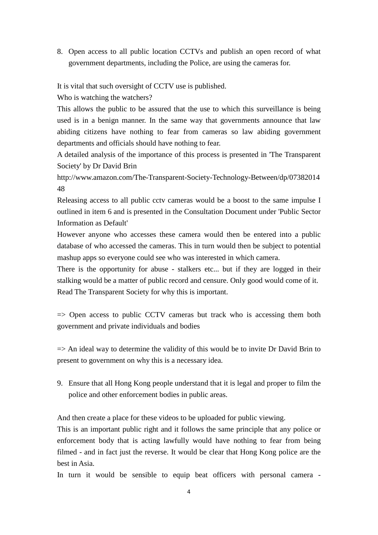8. Open access to all public location CCTVs and publish an open record of what government departments, including the Police, are using the cameras for.

It is vital that such oversight of CCTV use is published.

Who is watching the watchers?

This allows the public to be assured that the use to which this surveillance is being used is in a benign manner. In the same way that governments announce that law abiding citizens have nothing to fear from cameras so law abiding government departments and officials should have nothing to fear.

A detailed analysis of the importance of this process is presented in 'The Transparent Society' by Dr David Brin

http://www.amazon.com/The-Transparent-Society-Technology-Between/dp/07382014 48

Releasing access to all public cctv cameras would be a boost to the same impulse I outlined in item 6 and is presented in the Consultation Document under 'Public Sector Information as Default'

However anyone who accesses these camera would then be entered into a public database of who accessed the cameras. This in turn would then be subject to potential mashup apps so everyone could see who was interested in which camera.

There is the opportunity for abuse - stalkers etc... but if they are logged in their stalking would be a matter of public record and censure. Only good would come of it. Read The Transparent Society for why this is important.

 $\Rightarrow$  Open access to public CCTV cameras but track who is accessing them both government and private individuals and bodies

 $\Rightarrow$  An ideal way to determine the validity of this would be to invite Dr David Brin to present to government on why this is a necessary idea.

9. Ensure that all Hong Kong people understand that it is legal and proper to film the police and other enforcement bodies in public areas.

And then create a place for these videos to be uploaded for public viewing.

This is an important public right and it follows the same principle that any police or enforcement body that is acting lawfully would have nothing to fear from being filmed - and in fact just the reverse. It would be clear that Hong Kong police are the best in Asia.

In turn it would be sensible to equip beat officers with personal camera -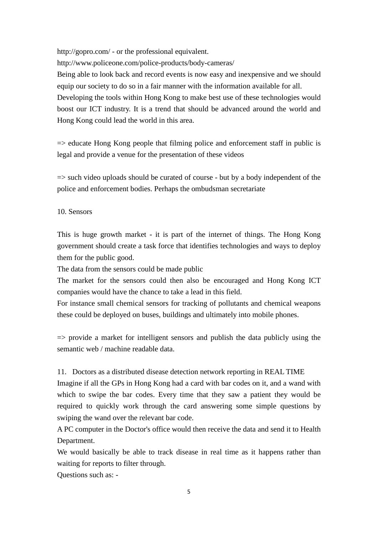http://gopro.com/ - or the professional equivalent.

http://www.policeone.com/police-products/body-cameras/

Being able to look back and record events is now easy and inexpensive and we should equip our society to do so in a fair manner with the information available for all.

Developing the tools within Hong Kong to make best use of these technologies would boost our ICT industry. It is a trend that should be advanced around the world and Hong Kong could lead the world in this area.

 $\Rightarrow$  educate Hong Kong people that filming police and enforcement staff in public is legal and provide a venue for the presentation of these videos

 $\Rightarrow$  such video uploads should be curated of course - but by a body independent of the police and enforcement bodies. Perhaps the ombudsman secretariate

10. Sensors

This is huge growth market - it is part of the internet of things. The Hong Kong government should create a task force that identifies technologies and ways to deploy them for the public good.

The data from the sensors could be made public

The market for the sensors could then also be encouraged and Hong Kong ICT companies would have the chance to take a lead in this field.

For instance small chemical sensors for tracking of pollutants and chemical weapons these could be deployed on buses, buildings and ultimately into mobile phones.

 $\Rightarrow$  provide a market for intelligent sensors and publish the data publicly using the semantic web / machine readable data.

11. Doctors as a distributed disease detection network reporting in REAL TIME

Imagine if all the GPs in Hong Kong had a card with bar codes on it, and a wand with which to swipe the bar codes. Every time that they saw a patient they would be required to quickly work through the card answering some simple questions by swiping the wand over the relevant bar code.

A PC computer in the Doctor's office would then receive the data and send it to Health Department.

We would basically be able to track disease in real time as it happens rather than waiting for reports to filter through.

Questions such as: -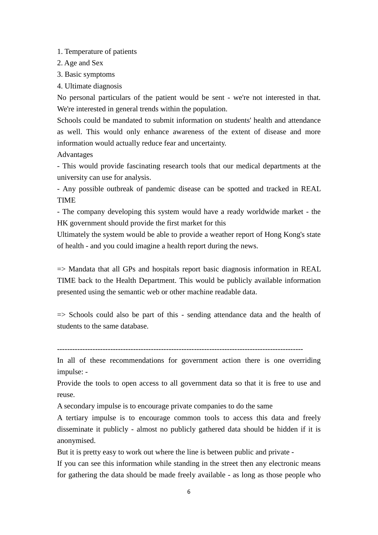1. Temperature of patients

- 2. Age and Sex
- 3. Basic symptoms
- 4. Ultimate diagnosis

No personal particulars of the patient would be sent - we're not interested in that. We're interested in general trends within the population.

Schools could be mandated to submit information on students' health and attendance as well. This would only enhance awareness of the extent of disease and more information would actually reduce fear and uncertainty.

Advantages

- This would provide fascinating research tools that our medical departments at the university can use for analysis.

- Any possible outbreak of pandemic disease can be spotted and tracked in REAL TIME

- The company developing this system would have a ready worldwide market - the HK government should provide the first market for this

Ultimately the system would be able to provide a weather report of Hong Kong's state of health - and you could imagine a health report during the news.

 $\Rightarrow$  Mandata that all GPs and hospitals report basic diagnosis information in REAL TIME back to the Health Department. This would be publicly available information presented using the semantic web or other machine readable data.

 $\Rightarrow$  Schools could also be part of this - sending attendance data and the health of students to the same database.

-------------------------------------------------------------------------------------------------

In all of these recommendations for government action there is one overriding impulse: -

Provide the tools to open access to all government data so that it is free to use and reuse.

A secondary impulse is to encourage private companies to do the same

A tertiary impulse is to encourage common tools to access this data and freely disseminate it publicly - almost no publicly gathered data should be hidden if it is anonymised.

But it is pretty easy to work out where the line is between public and private -

If you can see this information while standing in the street then any electronic means for gathering the data should be made freely available - as long as those people who